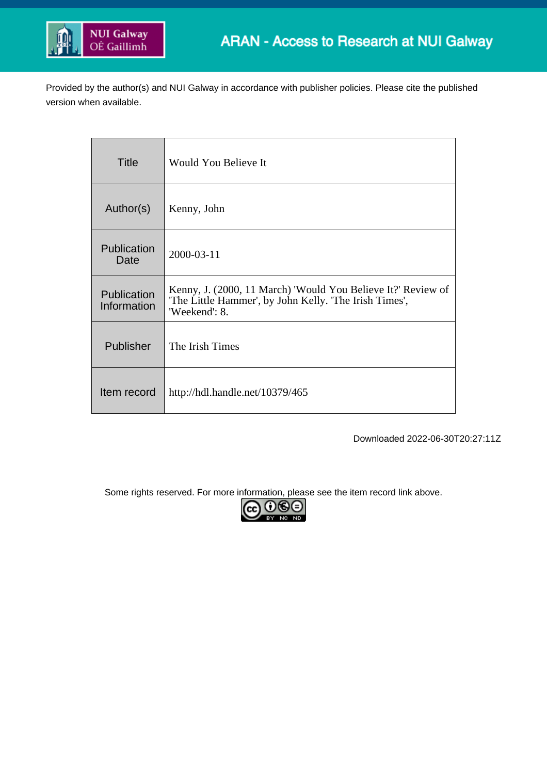

Provided by the author(s) and NUI Galway in accordance with publisher policies. Please cite the published version when available.

| <b>Title</b>               | <b>Would You Believe It</b>                                                                                                             |
|----------------------------|-----------------------------------------------------------------------------------------------------------------------------------------|
| Author(s)                  | Kenny, John                                                                                                                             |
| Publication<br>Date        | 2000-03-11                                                                                                                              |
| Publication<br>Information | Kenny, J. (2000, 11 March) 'Would You Believe It?' Review of<br>'The Little Hammer', by John Kelly. 'The Irish Times',<br>'Weekend': 8. |
| Publisher                  | The Irish Times                                                                                                                         |
| Item record                | http://hdl.handle.net/10379/465                                                                                                         |

Downloaded 2022-06-30T20:27:11Z

Some rights reserved. For more information, please see the item record link above.